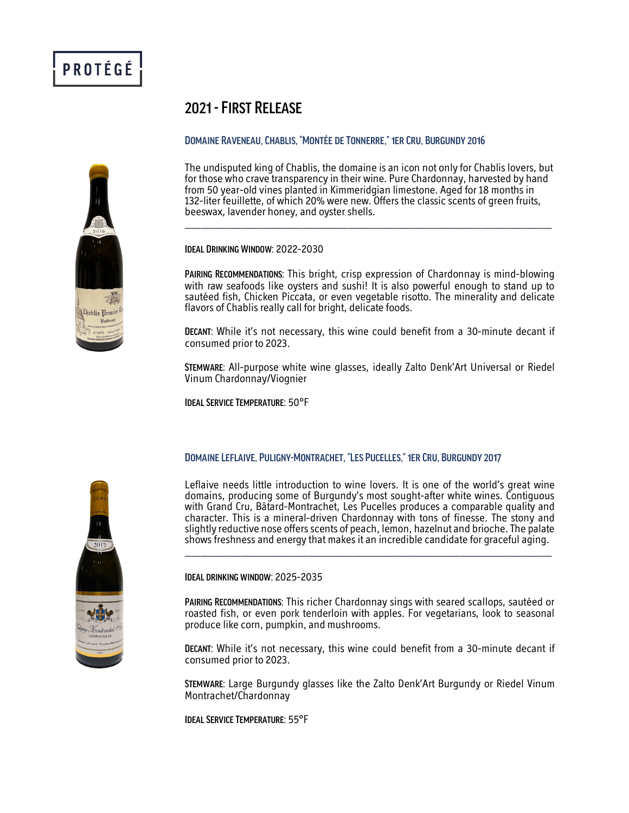# 2021 -First Release

## DOMAINE RAVENEAU, CHABLIS, "MONTÉE DE TONNERRE," 1ER CRU, BURGUNDY 2016

The undisputed king of Chablis, the domaine is an icon not only for Chablis lovers, but for those who crave transparency in their wine. Pure Chardonnay, harvested by hand from 50 year-old vines planted in Kimmeridgian limestone. Aged for 18 months in 132-liter feuillette, of which 20% were new. Offers the classic scents of green fruits, beeswax, lavender honey, and oyster shells. \_\_\_\_\_\_\_\_\_\_\_\_\_\_\_\_\_\_\_\_\_\_\_\_\_\_\_\_\_\_\_\_\_\_\_\_\_\_\_\_\_\_\_\_\_\_\_\_\_\_\_\_\_\_\_\_\_\_\_\_\_\_\_\_\_\_\_\_\_\_\_\_

Ideal Drinking Window: 2022-2030

Pairing Recommendations: This bright, crisp expression of Chardonnay is mind-blowing with raw seafoods like oysters and sushi! It is also powerful enough to stand up to sautéed fish, Chicken Piccata, or even vegetable risotto. The minerality and delicate flavors of Chablis really call for bright, delicate foods.

Decant: While it's not necessary, this wine could benefit from a 30-minute decant if consumed prior to 2023.

Stemware: All-purpose white wine glasses, ideally Zalto Denk'Art Universal or Riedel Vinum Chardonnay/Viognier

Ideal Service Temperature: 50°F

## Domaine Leflaive, Puligny-Montrachet, "Les Pucelles," 1er Cru, Burgundy 2017

Leflaive needs little introduction to wine lovers. It is one of the world's great wine domains, producing some of Burgundy's most sought-after white wines. Contiguous with Grand Cru, Bâtard-Montrachet, Les Pucelles produces a comparable quality and character. This is a mineral-driven Chardonnay with tons of finesse. The stony and slightly reductive nose offers scents of peach, lemon, hazelnut and brioche. The palate shows freshness and energy that makes it an incredible candidate for graceful aging.



Ideal drinking window: 2025-2035

Pairing Recommendations: This richer Chardonnay sings with seared scallops, sautéed or roasted fish, or even pork tenderloin with apples. For vegetarians, look to seasonal produce like corn, pumpkin, and mushrooms.

Decant: While it's not necessary, this wine could benefit from a 30-minute decant if consumed prior to 2023.

Stemware: Large Burgundy glasses like the Zalto Denk'Art Burgundy or Riedel Vinum Montrachet/Chardonnay

Ideal Service Temperature: 55°F

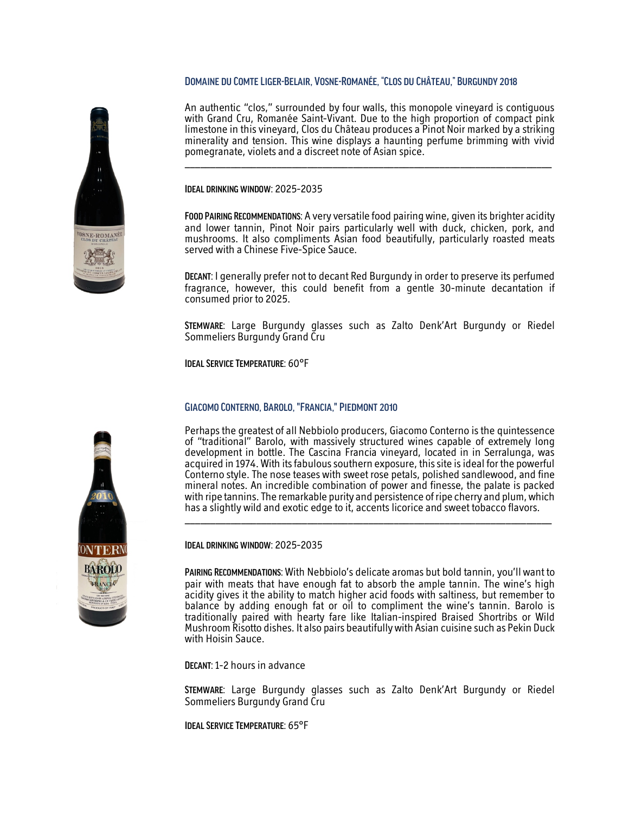#### Domaine du Comte Liger-Belair, Vosne-Romanée, "Clos du Château," Burgundy2018

An authentic "clos," surrounded by four walls, this monopole vineyard is contiguous with Grand Cru, Romanée Saint-Vivant. Due to the high proportion of compact pink limestone in this vineyard, Clos du Château produces a Pinot Noir marked by a striking minerality and tension. This wine displays a haunting perfume brimming with vivid pomegranate, violets and a discreet note of Asian spice.

Ideal drinking window: 2025-2035

Food Pairing Recommendations: A very versatile food pairing wine, given its brighter acidity and lower tannin, Pinot Noir pairs particularly well with duck, chicken, pork, and mushrooms. It also compliments Asian food beautifully, particularly roasted meats served with a Chinese Five-Spice Sauce.

Decant: I generally prefer not to decant Red Burgundy in order to preserve its perfumed fragrance, however, this could benefit from a gentle 30-minute decantation if consumed prior to 2025.

Stemware: Large Burgundy glasses such as Zalto Denk'Art Burgundy or Riedel Sommeliers Burgundy Grand Cru

Ideal Service Temperature: 60°F

### Giacomo Conterno, Barolo, "Francia," Piedmont 2010

Perhaps the greatest of all Nebbiolo producers, Giacomo Conterno is the quintessence of "traditional" Barolo, with massively structured wines capable of extremely long development in bottle. The Cascina Francia vineyard, located in in Serralunga, was acquired in 1974. With its fabulous southern exposure, this site is ideal for the powerful Conterno style. The nose teases with sweet rose petals, polished sandlewood, and fine mineral notes. An incredible combination of power and finesse, the palate is packed with ripe tannins. The remarkable purity and persistence of ripe cherry and plum, which has a slightly wild and exotic edge to it, accents licorice and sweet tobacco flavors.

\_\_\_\_\_\_\_\_\_\_\_\_\_\_\_\_\_\_\_\_\_\_\_\_\_\_\_\_\_\_\_\_\_\_\_\_\_\_\_\_\_\_\_\_\_\_\_\_\_\_\_\_\_\_\_\_\_\_\_\_\_\_\_\_\_\_\_\_\_\_\_\_

Ideal drinking window: 2025-2035

Pairing Recommendations: With Nebbiolo's delicate aromas but bold tannin, you'll want to pair with meats that have enough fat to absorb the ample tannin. The wine's high acidity gives it the ability to match higher acid foods with saltiness, but remember to balance by adding enough fat or oil to compliment the wine's tannin. Barolo is traditionally paired with hearty fare like Italian-inspired Braised Shortribs or Wild Mushroom Risotto dishes. It also pairs beautifully with Asian cuisine such as Pekin Duck with Hoisin Sauce.

Decant: 1-2 hours in advance

Stemware: Large Burgundy glasses such as Zalto Denk'Art Burgundy or Riedel Sommeliers Burgundy Grand Cru

Ideal Service Temperature: 65°F